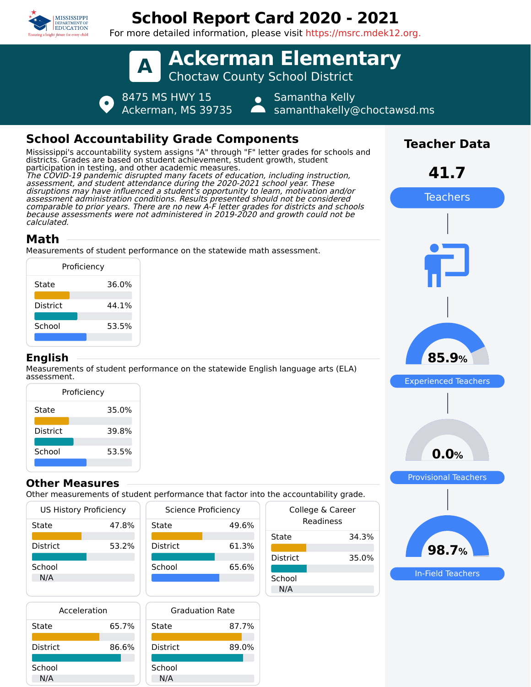

## **School Report Card 2020 - 2021**

For more detailed information, please visit https://msrc.mdek12.org.



| Proficiency |       |
|-------------|-------|
| State       | 35.0% |
| District    | 39.8% |
| School      | 53.5% |
|             |       |

#### **Other Measures**

Other measurements of student performance that factor into the accountability grade.

| <b>US History Proficiency</b> |       | Science Proficiency |       |
|-------------------------------|-------|---------------------|-------|
| State                         | 47.8% | State               | 49.6% |
| <b>District</b>               | 53.2% | <b>District</b>     | 61.3% |
| School<br>N/A                 |       | School              | 65.6% |
|                               |       |                     |       |

| Acceleration    |       | ٢       |
|-----------------|-------|---------|
| State           | 65.7% | State   |
| <b>District</b> | 86.6% | Distric |
| School          |       | Schoo   |
| N/A             |       | N/A     |



| the accountability grade.     |
|-------------------------------|
| College & Career<br>Readiness |
| 34.3%                         |
| 35.0%                         |
|                               |
|                               |



**0.0%**